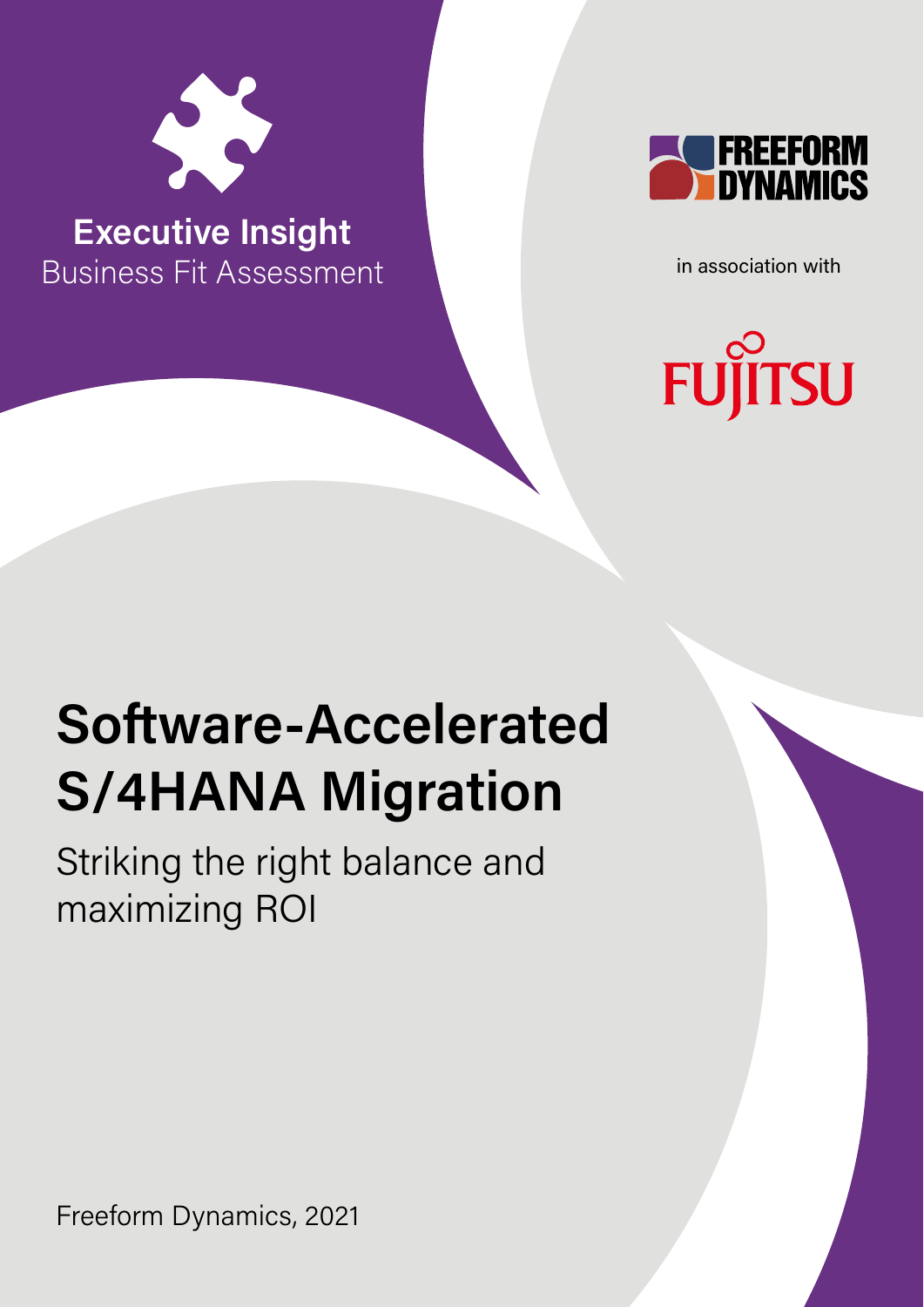

**Executive Insight** Business Fit Assessment



in association with

# **FUJITSU**

## **Software-Accelerated S/4HANA Migration**

Striking the right balance and maximizing ROI

Freeform Dynamics, 2021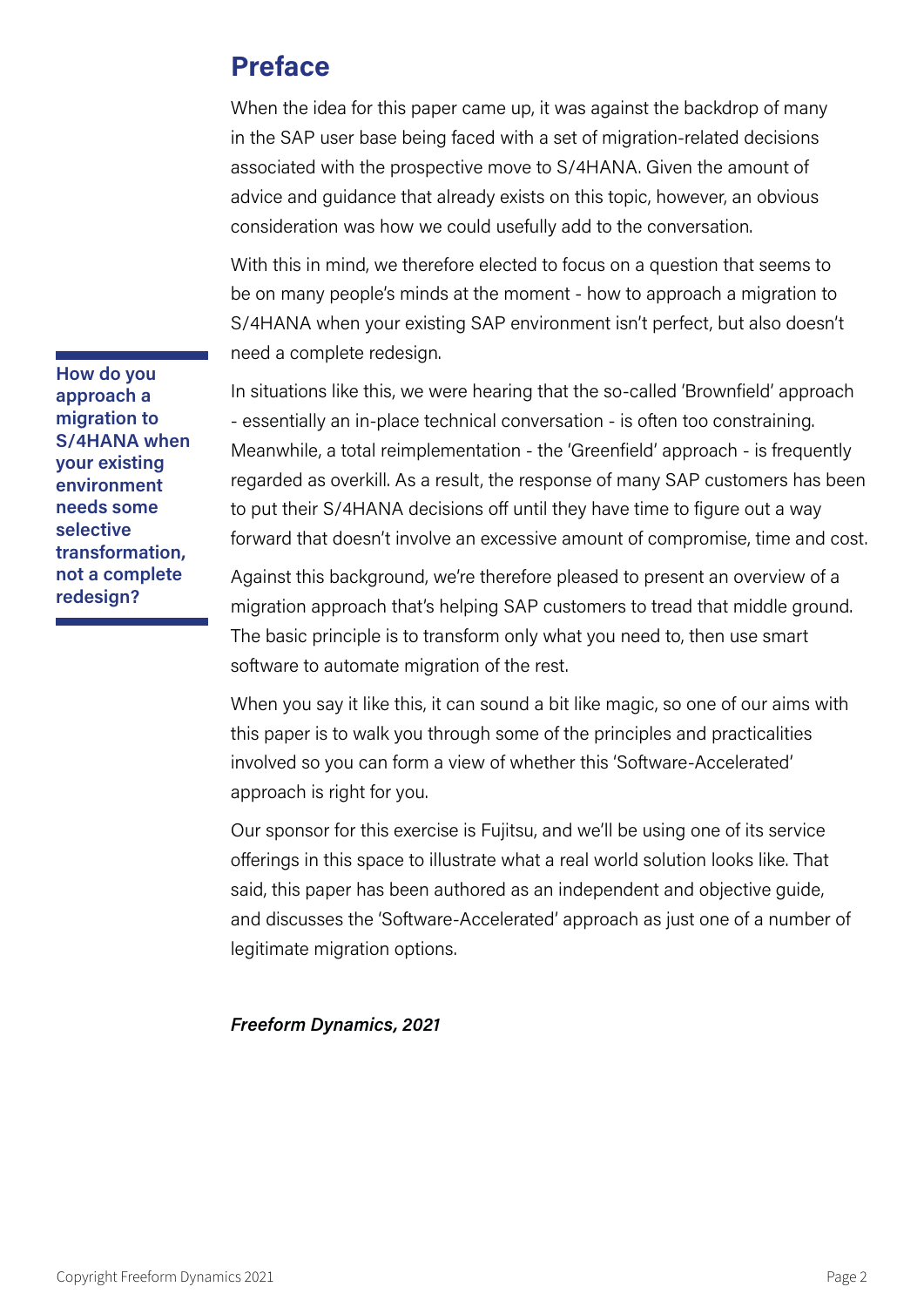## **Preface**

When the idea for this paper came up, it was against the backdrop of many in the SAP user base being faced with a set of migration-related decisions associated with the prospective move to S/4HANA. Given the amount of advice and guidance that already exists on this topic, however, an obvious consideration was how we could usefully add to the conversation.

With this in mind, we therefore elected to focus on a question that seems to be on many people's minds at the moment - how to approach a migration to S/4HANA when your existing SAP environment isn't perfect, but also doesn't need a complete redesign.

In situations like this, we were hearing that the so-called 'Brownfield' approach - essentially an in-place technical conversation - is often too constraining. Meanwhile, a total reimplementation - the 'Greenfield' approach - is frequently regarded as overkill. As a result, the response of many SAP customers has been to put their S/4HANA decisions off until they have time to figure out a way forward that doesn't involve an excessive amount of compromise, time and cost.

Against this background, we're therefore pleased to present an overview of a migration approach that's helping SAP customers to tread that middle ground. The basic principle is to transform only what you need to, then use smart software to automate migration of the rest.

When you say it like this, it can sound a bit like magic, so one of our aims with this paper is to walk you through some of the principles and practicalities involved so you can form a view of whether this 'Software-Accelerated' approach is right for you.

Our sponsor for this exercise is Fujitsu, and we'll be using one of its service offerings in this space to illustrate what a real world solution looks like. That said, this paper has been authored as an independent and objective guide, and discusses the 'Software-Accelerated' approach as just one of a number of legitimate migration options.

#### *Freeform Dynamics, 2021*

**How do you approach a migration to S/4HANA when your existing environment needs some selective transformation, not a complete redesign?**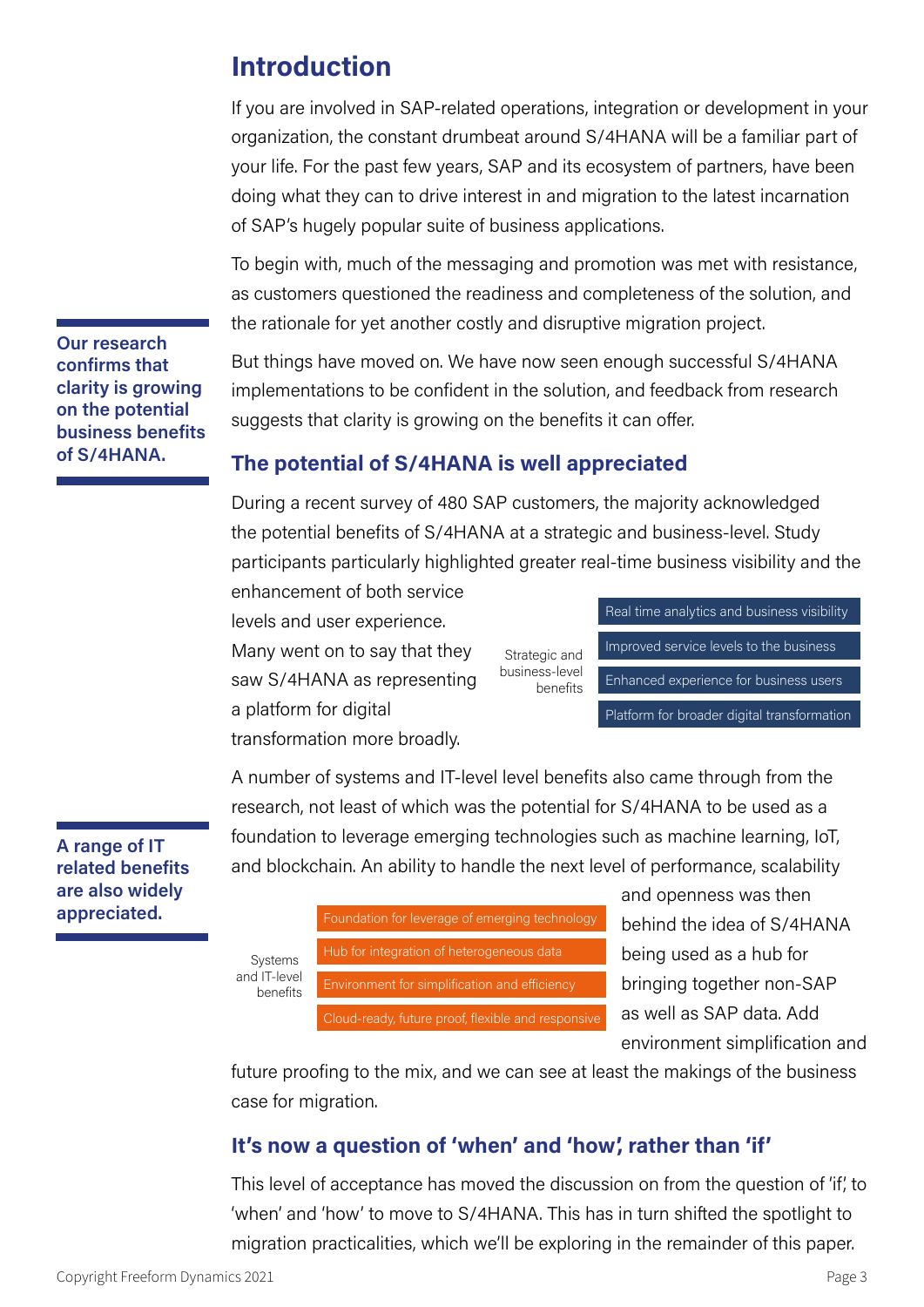## **Introduction**

If you are involved in SAP-related operations, integration or development in your organization, the constant drumbeat around S/4HANA will be a familiar part of your life. For the past few years, SAP and its ecosystem of partners, have been doing what they can to drive interest in and migration to the latest incarnation of SAP's hugely popular suite of business applications.

To begin with, much of the messaging and promotion was met with resistance, as customers questioned the readiness and completeness of the solution, and the rationale for yet another costly and disruptive migration project.

But things have moved on. We have now seen enough successful S/4HANA implementations to be confident in the solution, and feedback from research suggests that clarity is growing on the benefits it can offer.

## **The potential of S/4HANA is well appreciated**

During a recent survey of 480 SAP customers, the majority acknowledged the potential benefits of S/4HANA at a strategic and business-level. Study participants particularly highlighted greater real-time business visibility and the

enhancement of both service

levels and user experience.

Many went on to say that they saw S/4HANA as representing a platform for digital transformation more broadly.

Strategic and business-level benefits

Real time analytics and business visibility Improved service levels to the business Enhanced experience for business users Platform for broader digital transformation

A number of systems and IT-level level benefits also came through from the research, not least of which was the potential for S/4HANA to be used as a foundation to leverage emerging technologies such as machine learning, IoT, and blockchain. An ability to handle the next level of performance, scalability



| Systems<br>and IT-level<br>benefits | Foundation for leverage of emerging technology     |
|-------------------------------------|----------------------------------------------------|
|                                     |                                                    |
|                                     | Hub for integration of heterogeneous data          |
|                                     |                                                    |
|                                     | Environment for simplification and efficiency      |
|                                     |                                                    |
|                                     | Cloud-ready, future proof, flexible and responsive |

and openness was then behind the idea of S/4HANA being used as a hub for bringing together non-SAP as well as SAP data. Add environment simplification and

future proofing to the mix, and we can see at least the makings of the business case for migration.

## **It's now a question of 'when' and 'how', rather than 'if'**

This level of acceptance has moved the discussion on from the question of 'if', to 'when' and 'how' to move to S/4HANA. This has in turn shifted the spotlight to migration practicalities, which we'll be exploring in the remainder of this paper.

**Our research confirms that clarity is growing on the potential business benefits of S/4HANA.**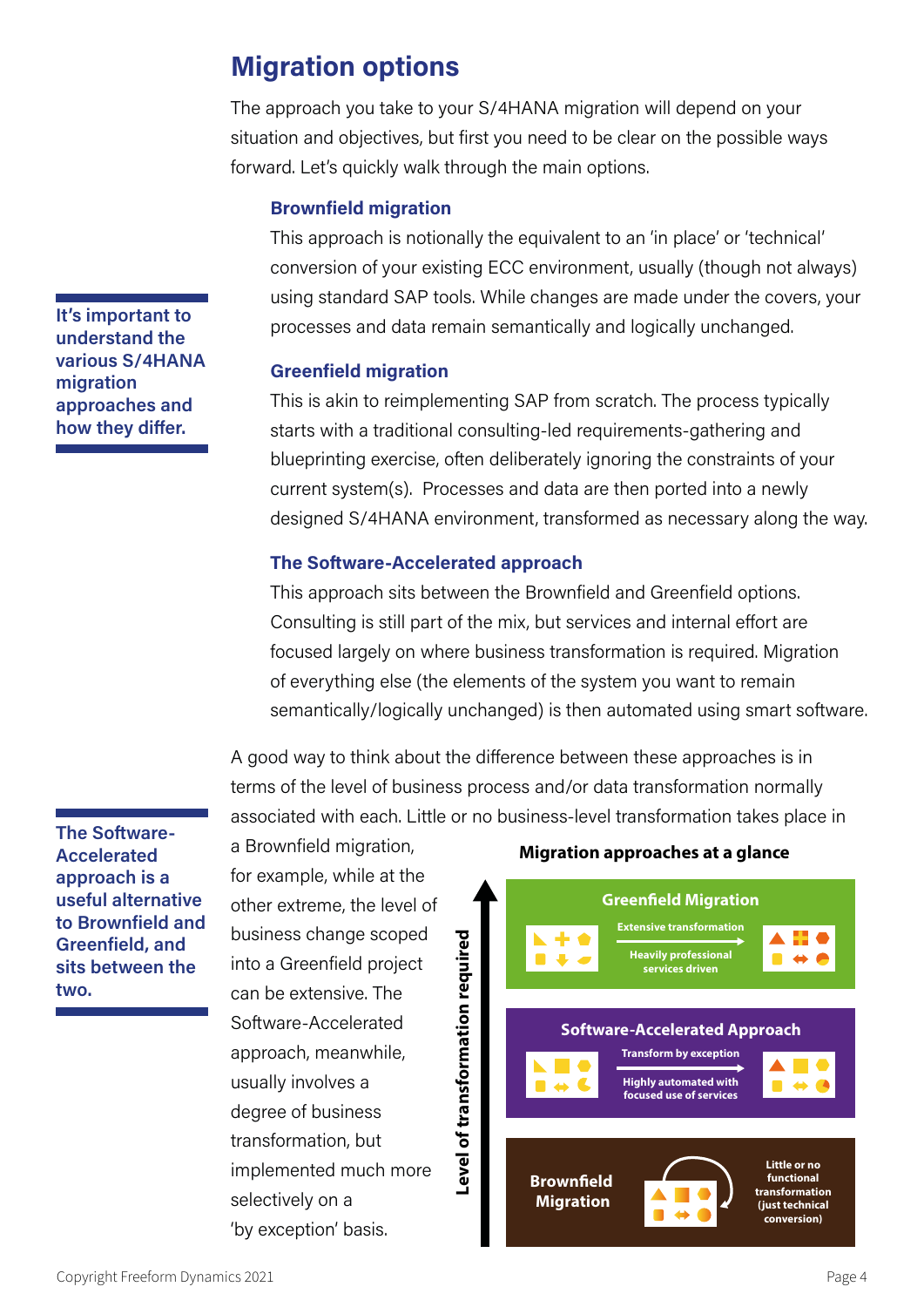## **Migration options**

The approach you take to your S/4HANA migration will depend on your situation and objectives, but first you need to be clear on the possible ways forward. Let's quickly walk through the main options.

#### **Brownfield migration**

This approach is notionally the equivalent to an 'in place' or 'technical' conversion of your existing ECC environment, usually (though not always) using standard SAP tools. While changes are made under the covers, your processes and data remain semantically and logically unchanged.

#### **Greenfield migration**

This is akin to reimplementing SAP from scratch. The process typically starts with a traditional consulting-led requirements-gathering and blueprinting exercise, often deliberately ignoring the constraints of your current system(s). Processes and data are then ported into a newly designed S/4HANA environment, transformed as necessary along the way.

#### **The Software-Accelerated approach**

This approach sits between the Brownfield and Greenfield options. Consulting is still part of the mix, but services and internal effort are focused largely on where business transformation is required. Migration of everything else (the elements of the system you want to remain semantically/logically unchanged) is then automated using smart software.

A good way to think about the difference between these approaches is in terms of the level of business process and/or data transformation normally associated with each. Little or no business-level transformation takes place in

**The Software-Accelerated approach is a useful alternative to Brownfield and Greenfield, and sits between the two.** 

a Brownfield migration, for example, while at the other extreme, the level of business change scoped into a Greenfield project can be extensive. The Software-Accelerated approach, meanwhile, usually involves a degree of business transformation, but implemented much more selectively on a 'by exception' basis.



**It's important to understand the various S/4HANA migration approaches and how they differ.**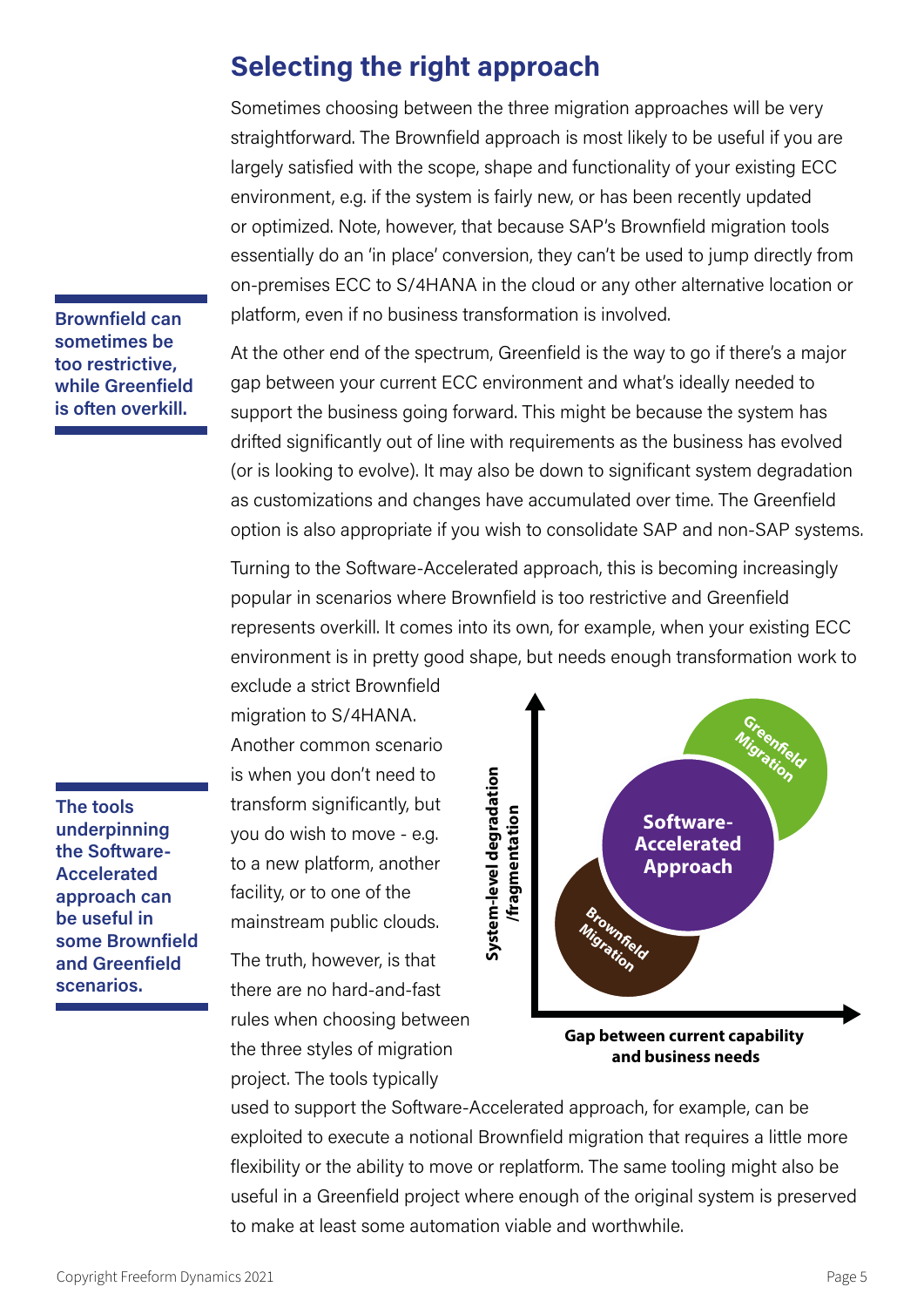## **Selecting the right approach**

Sometimes choosing between the three migration approaches will be very straightforward. The Brownfield approach is most likely to be useful if you are largely satisfied with the scope, shape and functionality of your existing ECC environment, e.g. if the system is fairly new, or has been recently updated or optimized. Note, however, that because SAP's Brownfield migration tools essentially do an 'in place' conversion, they can't be used to jump directly from on-premises ECC to S/4HANA in the cloud or any other alternative location or platform, even if no business transformation is involved.

**Brownfield can sometimes be too restrictive, while Greenfield is often overkill.**

At the other end of the spectrum, Greenfield is the way to go if there's a major gap between your current ECC environment and what's ideally needed to support the business going forward. This might be because the system has drifted significantly out of line with requirements as the business has evolved (or is looking to evolve). It may also be down to significant system degradation as customizations and changes have accumulated over time. The Greenfield option is also appropriate if you wish to consolidate SAP and non-SAP systems.

Turning to the Software-Accelerated approach, this is becoming increasingly popular in scenarios where Brownfield is too restrictive and Greenfield represents overkill. It comes into its own, for example, when your existing ECC environment is in pretty good shape, but needs enough transformation work to

migration to S/4HANA. Another common scenario is when you don't need to transform significantly, but you do wish to move - e.g. to a new platform, another facility, or to one of the mainstream public clouds.

exclude a strict Brownfield

The truth, however, is that there are no hard-and-fast rules when choosing between the three styles of migration project. The tools typically



**and business needs**

used to support the Software-Accelerated approach, for example, can be exploited to execute a notional Brownfield migration that requires a little more flexibility or the ability to move or replatform. The same tooling might also be useful in a Greenfield project where enough of the original system is preserved to make at least some automation viable and worthwhile.

**The tools underpinning the Software-Accelerated approach can be useful in some Brownfield and Greenfield scenarios.**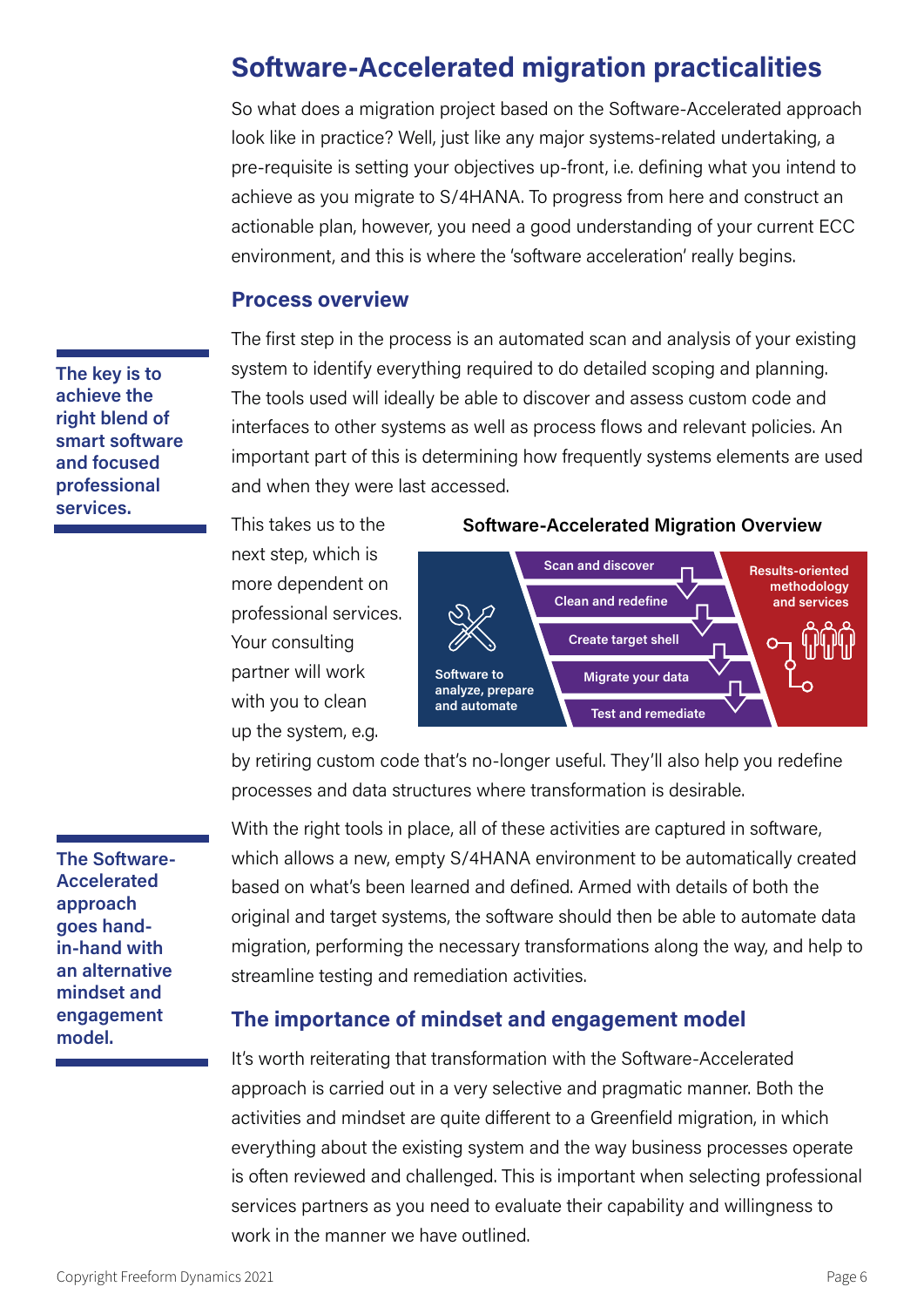## **Software-Accelerated migration practicalities**

So what does a migration project based on the Software-Accelerated approach look like in practice? Well, just like any major systems-related undertaking, a pre-requisite is setting your objectives up-front, i.e. defining what you intend to achieve as you migrate to S/4HANA. To progress from here and construct an actionable plan, however, you need a good understanding of your current ECC environment, and this is where the 'software acceleration' really begins.

#### **Process overview**

The first step in the process is an automated scan and analysis of your existing system to identify everything required to do detailed scoping and planning. The tools used will ideally be able to discover and assess custom code and interfaces to other systems as well as process flows and relevant policies. An important part of this is determining how frequently systems elements are used and when they were last accessed.

This takes us to the next step, which is more dependent on professional services. Your consulting partner will work with you to clean up the system, e.g.

#### **Software-Accelerated Migration Overview**



by retiring custom code that's no-longer useful. They'll also help you redefine processes and data structures where transformation is desirable.

**The Software-Accelerated approach goes handin-hand with an alternative mindset and engagement model.**

**The key is to achieve the right blend of smart software and focused professional services.**

> With the right tools in place, all of these activities are captured in software, which allows a new, empty S/4HANA environment to be automatically created based on what's been learned and defined. Armed with details of both the original and target systems, the software should then be able to automate data migration, performing the necessary transformations along the way, and help to streamline testing and remediation activities.

#### **The importance of mindset and engagement model**

It's worth reiterating that transformation with the Software-Accelerated approach is carried out in a very selective and pragmatic manner. Both the activities and mindset are quite different to a Greenfield migration, in which everything about the existing system and the way business processes operate is often reviewed and challenged. This is important when selecting professional services partners as you need to evaluate their capability and willingness to work in the manner we have outlined.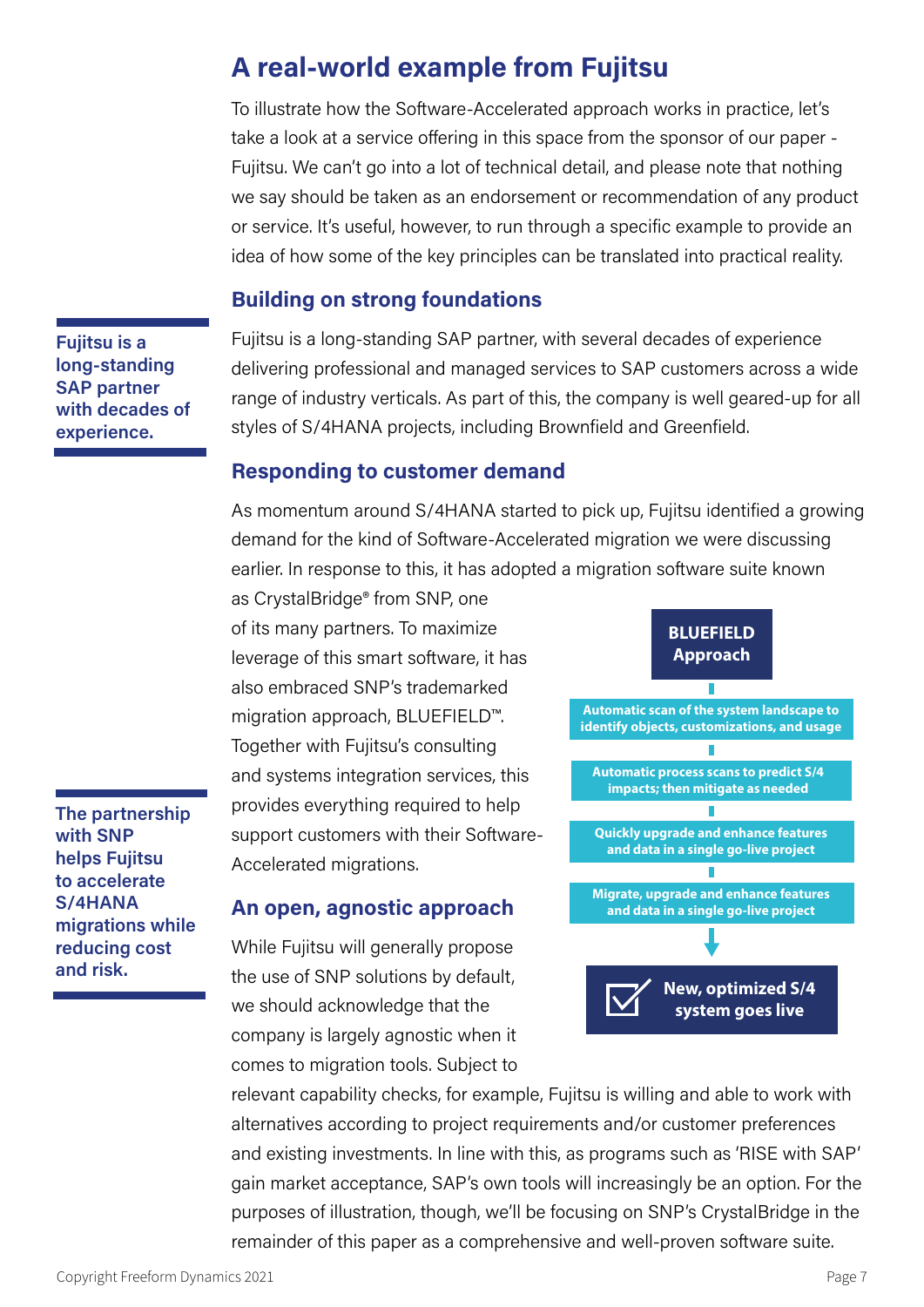## **A real-world example from Fujitsu**

To illustrate how the Software-Accelerated approach works in practice, let's take a look at a service offering in this space from the sponsor of our paper - Fujitsu. We can't go into a lot of technical detail, and please note that nothing we say should be taken as an endorsement or recommendation of any product or service. It's useful, however, to run through a specific example to provide an idea of how some of the key principles can be translated into practical reality.

## **Building on strong foundations**

**Fujitsu is a long-standing SAP partner with decades of experience.**

Fujitsu is a long-standing SAP partner, with several decades of experience delivering professional and managed services to SAP customers across a wide range of industry verticals. As part of this, the company is well geared-up for all styles of S/4HANA projects, including Brownfield and Greenfield.

#### **Responding to customer demand**

As momentum around S/4HANA started to pick up, Fujitsu identified a growing demand for the kind of Software-Accelerated migration we were discussing earlier. In response to this, it has adopted a migration software suite known

as CrystalBridge® from SNP, one of its many partners. To maximize leverage of this smart software, it has also embraced SNP's trademarked migration approach, BLUEFIELD™. Together with Fujitsu's consulting and systems integration services, this provides everything required to help support customers with their Software-Accelerated migrations.

#### **An open, agnostic approach**

While Fujitsu will generally propose the use of SNP solutions by default, we should acknowledge that the company is largely agnostic when it comes to migration tools. Subject to



relevant capability checks, for example, Fujitsu is willing and able to work with alternatives according to project requirements and/or customer preferences and existing investments. In line with this, as programs such as 'RISE with SAP' gain market acceptance, SAP's own tools will increasingly be an option. For the purposes of illustration, though, we'll be focusing on SNP's CrystalBridge in the remainder of this paper as a comprehensive and well-proven software suite.

**The partnership with SNP helps Fujitsu to accelerate S/4HANA migrations while reducing cost and risk.**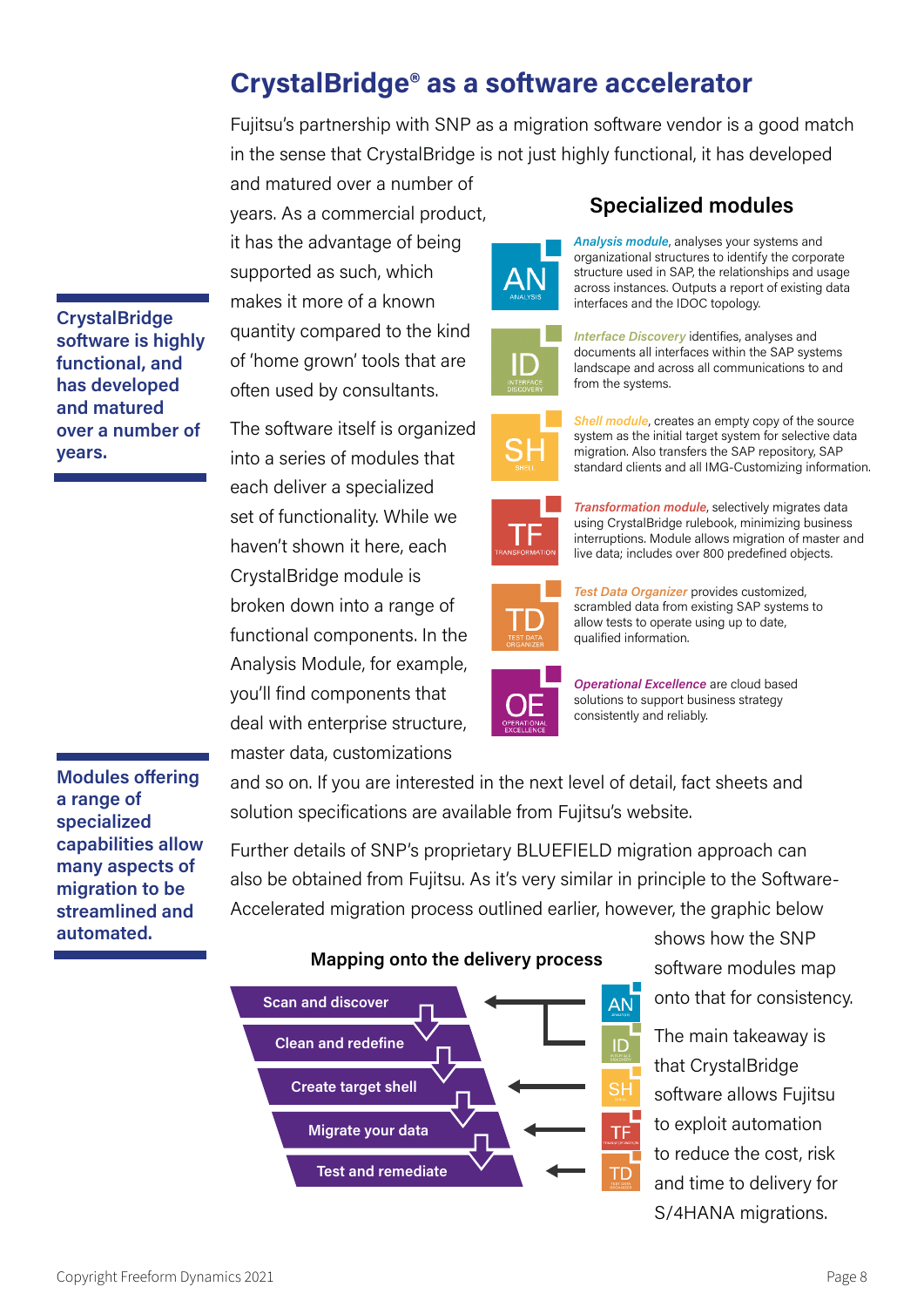## **CrystalBridge® as a software accelerator**

Fujitsu's partnership with SNP as a migration software vendor is a good match in the sense that CrystalBridge is not just highly functional, it has developed

and matured over a number of years. As a commercial product, it has the advantage of being supported as such, which makes it more of a known quantity compared to the kind of 'home grown' tools that are often used by consultants.

The software itself is organized into a series of modules that each deliver a specialized set of functionality. While we haven't shown it here, each CrystalBridge module is broken down into a range of functional components. In the Analysis Module, for example, you'll find components that deal with enterprise structure, master data, customizations

АN



*Interface Discovery* identifies, analyses and documents all interfaces within the SAP systems landscape and across all communications to and from the systems.

*Shell module*, creates an empty copy of the source system as the initial target system for selective data migration. Also transfers the SAP repository, SAP standard clients and all IMG-Customizing information.



*Transformation module*, selectively migrates data using CrystalBridge rulebook, minimizing business interruptions. Module allows migration of master and live data; includes over 800 predefined objects.



*Test Data Organizer* provides customized, scrambled data from existing SAP systems to allow tests to operate using up to date, qualified information.



and so on. If you are interested in the next level of detail, fact sheets and

Further details of SNP's proprietary BLUEFIELD migration approach can

also be obtained from Fujitsu. As it's very similar in principle to the Software-Accelerated migration process outlined earlier, however, the graphic below

solution specifications are available from Fujitsu's website.

*Operational Excellence* are cloud based solutions to support business strategy consistently and reliably.

**Modules offering a range of specialized capabilities allow many aspects of migration to be streamlined and automated.**

**CrystalBridge software is highly functional, and has developed and matured over a number of** 

**years.**



shows how the SNP software modules map onto that for consistency.

The main takeaway is that CrystalBridge software allows Fujitsu to exploit automation to reduce the cost, risk and time to delivery for S/4HANA migrations.

## **Specialized modules**

*Analysis module*, analyses your systems and organizational structures to identify the corporate structure used in SAP, the relationships and usage across instances. Outputs a report of existing data

interfaces and the IDOC topology.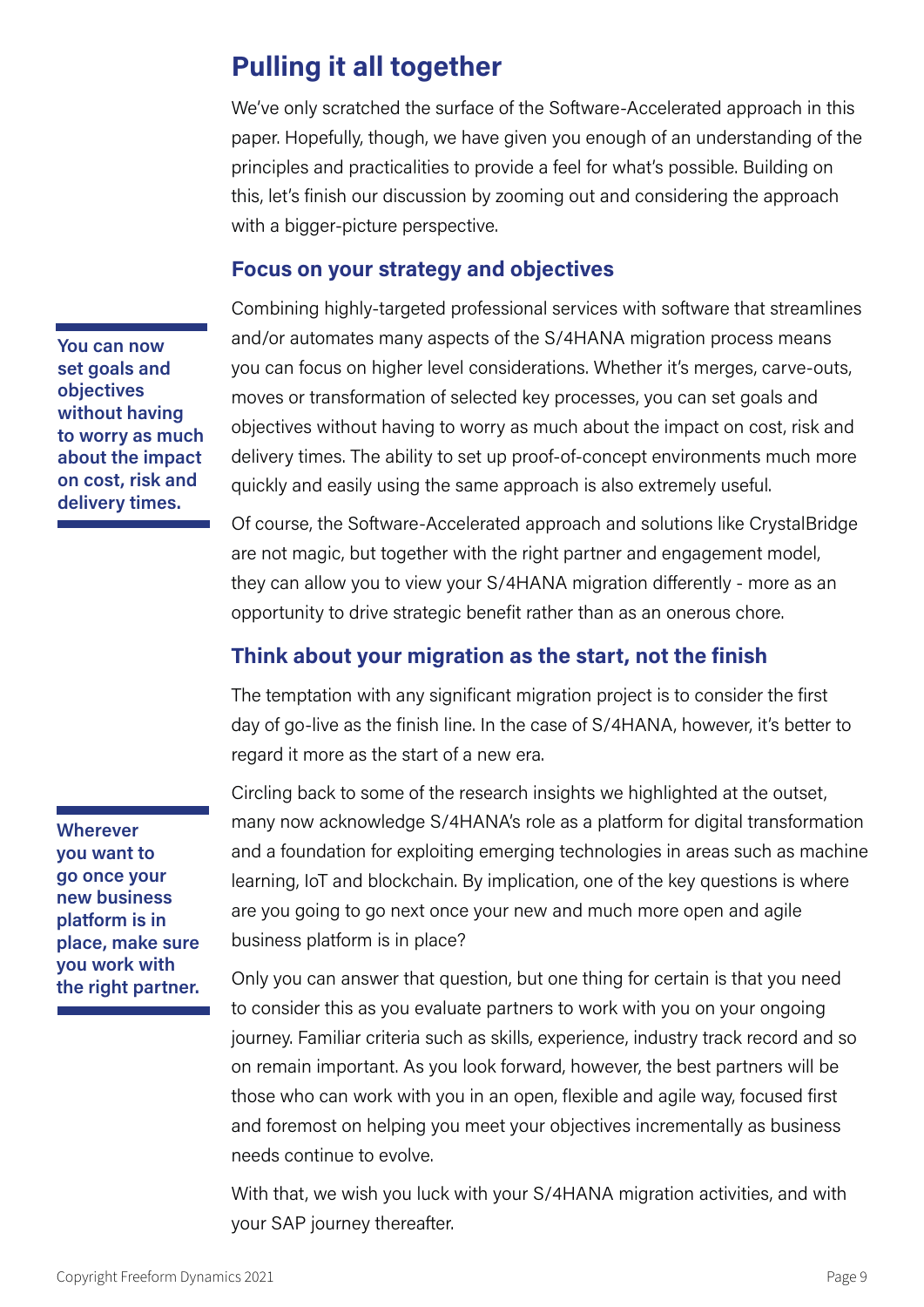## **Pulling it all together**

We've only scratched the surface of the Software-Accelerated approach in this paper. Hopefully, though, we have given you enough of an understanding of the principles and practicalities to provide a feel for what's possible. Building on this, let's finish our discussion by zooming out and considering the approach with a bigger-picture perspective.

#### **Focus on your strategy and objectives**

Combining highly-targeted professional services with software that streamlines and/or automates many aspects of the S/4HANA migration process means you can focus on higher level considerations. Whether it's merges, carve-outs, moves or transformation of selected key processes, you can set goals and objectives without having to worry as much about the impact on cost, risk and delivery times. The ability to set up proof-of-concept environments much more quickly and easily using the same approach is also extremely useful.

Of course, the Software-Accelerated approach and solutions like CrystalBridge are not magic, but together with the right partner and engagement model, they can allow you to view your S/4HANA migration differently - more as an opportunity to drive strategic benefit rather than as an onerous chore.

## **Think about your migration as the start, not the finish**

The temptation with any significant migration project is to consider the first day of go-live as the finish line. In the case of S/4HANA, however, it's better to regard it more as the start of a new era.

Circling back to some of the research insights we highlighted at the outset, many now acknowledge S/4HANA's role as a platform for digital transformation and a foundation for exploiting emerging technologies in areas such as machine learning, IoT and blockchain. By implication, one of the key questions is where are you going to go next once your new and much more open and agile business platform is in place?

Only you can answer that question, but one thing for certain is that you need to consider this as you evaluate partners to work with you on your ongoing journey. Familiar criteria such as skills, experience, industry track record and so on remain important. As you look forward, however, the best partners will be those who can work with you in an open, flexible and agile way, focused first and foremost on helping you meet your objectives incrementally as business needs continue to evolve.

With that, we wish you luck with your S/4HANA migration activities, and with your SAP journey thereafter.

**You can now set goals and objectives without having to worry as much about the impact on cost, risk and delivery times.**

**Wherever you want to go once your new business platform is in place, make sure you work with the right partner.**